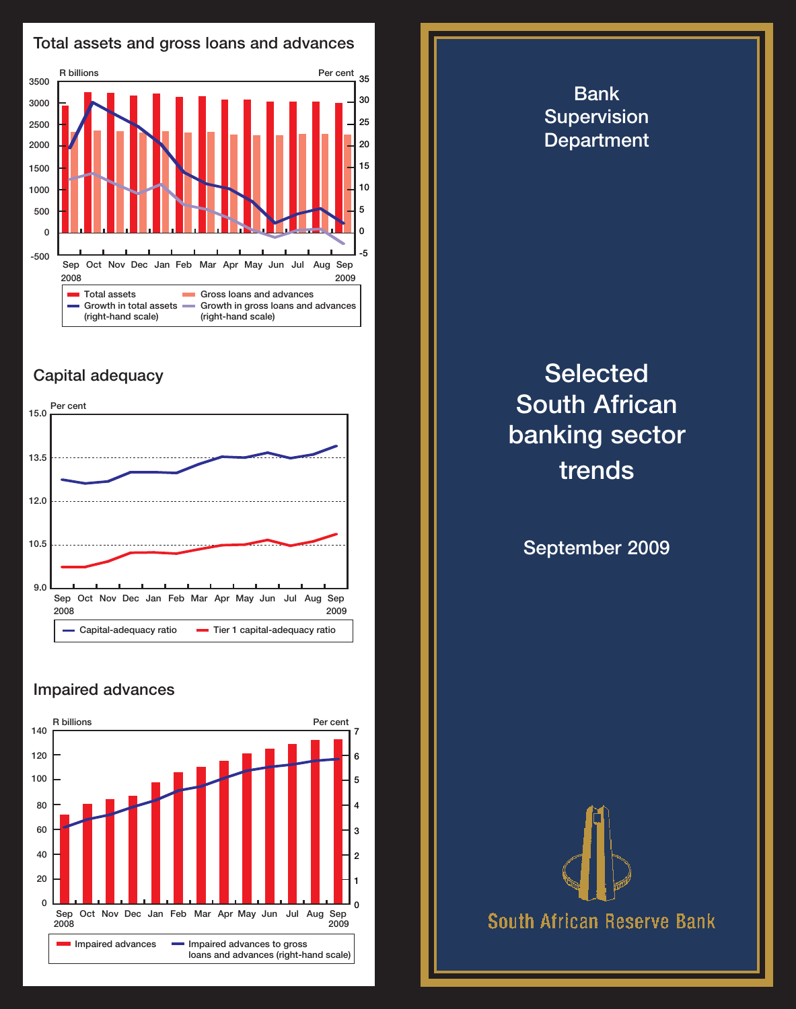

## Capital adequacy



### Impaired advances



# Bank **Supervision** Department

# **Selected** South African banking sector trends

September 2009